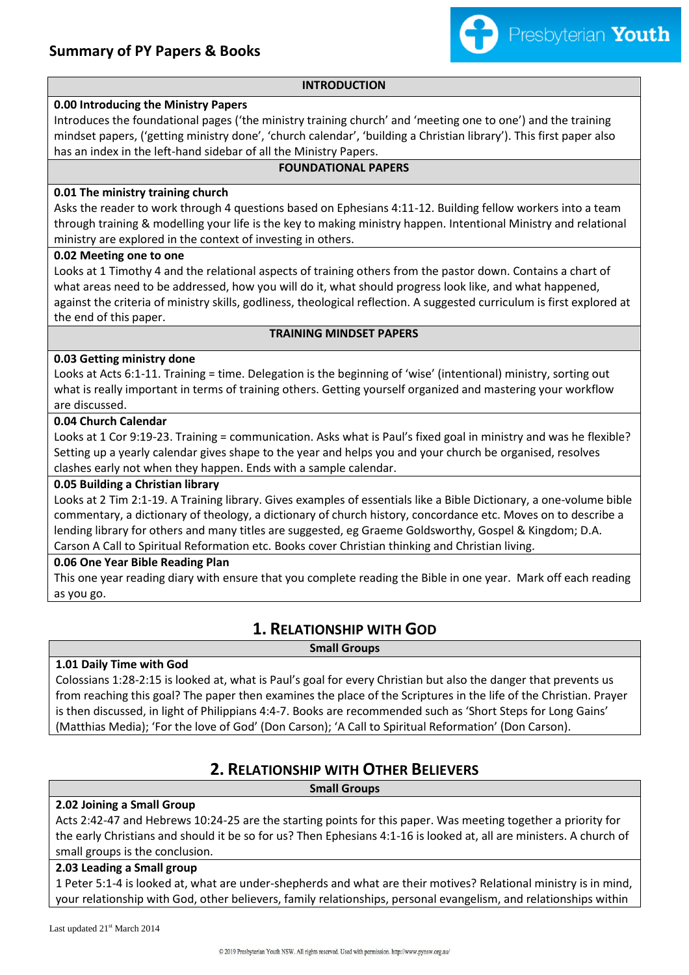

#### **INTRODUCTION**

#### **0.00 Introducing the Ministry Papers**

Introduces the foundational pages ('the ministry training church' and 'meeting one to one') and the training mindset papers, ('getting ministry done', 'church calendar', 'building a Christian library'). This first paper also has an index in the left-hand sidebar of all the Ministry Papers.

### **FOUNDATIONAL PAPERS**

#### **0.01 The ministry training church**

Asks the reader to work through 4 questions based on Ephesians 4:11-12. Building fellow workers into a team through training & modelling your life is the key to making ministry happen. Intentional Ministry and relational ministry are explored in the context of investing in others.

#### **0.02 Meeting one to one**

Looks at 1 Timothy 4 and the relational aspects of training others from the pastor down. Contains a chart of what areas need to be addressed, how you will do it, what should progress look like, and what happened, against the criteria of ministry skills, godliness, theological reflection. A suggested curriculum is first explored at the end of this paper.

#### **TRAINING MINDSET PAPERS**

#### **0.03 Getting ministry done**

Looks at Acts 6:1-11. Training = time. Delegation is the beginning of 'wise' (intentional) ministry, sorting out what is really important in terms of training others. Getting yourself organized and mastering your workflow are discussed.

#### **0.04 Church Calendar**

Looks at 1 Cor 9:19-23. Training = communication. Asks what is Paul's fixed goal in ministry and was he flexible? Setting up a yearly calendar gives shape to the year and helps you and your church be organised, resolves clashes early not when they happen. Ends with a sample calendar.

#### **0.05 Building a Christian library**

Looks at 2 Tim 2:1-19. A Training library. Gives examples of essentials like a Bible Dictionary, a one-volume bible commentary, a dictionary of theology, a dictionary of church history, concordance etc. Moves on to describe a lending library for others and many titles are suggested, eg Graeme Goldsworthy, Gospel & Kingdom; D.A. Carson A Call to Spiritual Reformation etc. Books cover Christian thinking and Christian living.

#### **0.06 One Year Bible Reading Plan**

This one year reading diary with ensure that you complete reading the Bible in one year. Mark off each reading as you go.

## **1. RELATIONSHIP WITH GOD**

**Small Groups**

#### **1.01 Daily Time with God**

Colossians 1:28-2:15 is looked at, what is Paul's goal for every Christian but also the danger that prevents us from reaching this goal? The paper then examines the place of the Scriptures in the life of the Christian. Prayer is then discussed, in light of Philippians 4:4-7. Books are recommended such as 'Short Steps for Long Gains' (Matthias Media); 'For the love of God' (Don Carson); 'A Call to Spiritual Reformation' (Don Carson).

## **2. RELATIONSHIP WITH OTHER BELIEVERS**

**Small Groups**

#### **2.02 Joining a Small Group**

Acts 2:42-47 and Hebrews 10:24-25 are the starting points for this paper. Was meeting together a priority for the early Christians and should it be so for us? Then Ephesians 4:1-16 is looked at, all are ministers. A church of small groups is the conclusion.

#### **2.03 Leading a Small group**

1 Peter 5:1-4 is looked at, what are under-shepherds and what are their motives? Relational ministry is in mind, your relationship with God, other believers, family relationships, personal evangelism, and relationships within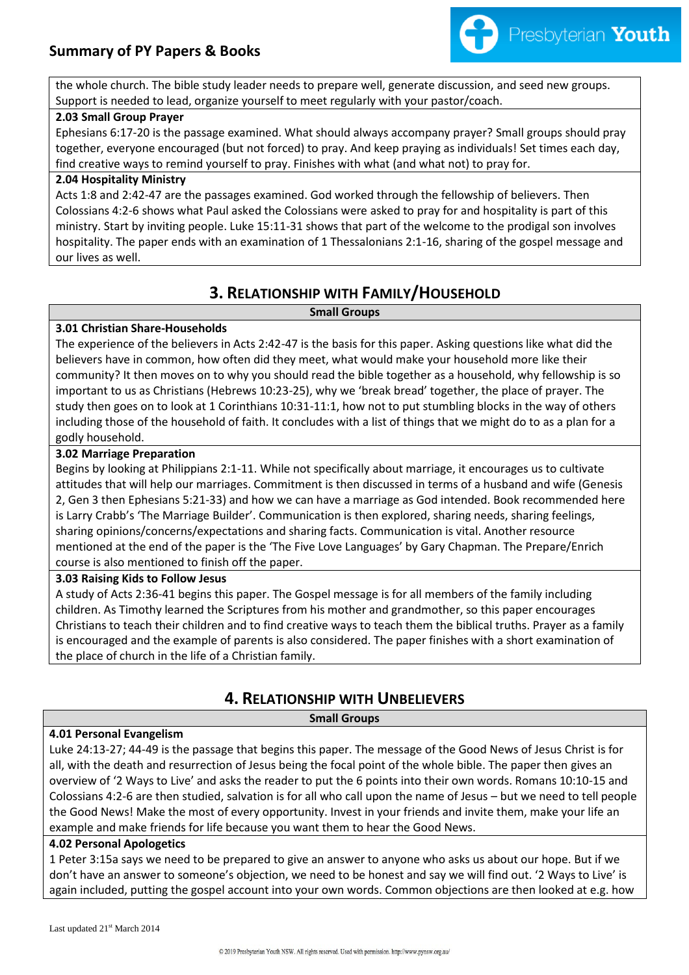

the whole church. The bible study leader needs to prepare well, generate discussion, and seed new groups. Support is needed to lead, organize yourself to meet regularly with your pastor/coach.

#### **2.03 Small Group Prayer**

Ephesians 6:17-20 is the passage examined. What should always accompany prayer? Small groups should pray together, everyone encouraged (but not forced) to pray. And keep praying as individuals! Set times each day, find creative ways to remind yourself to pray. Finishes with what (and what not) to pray for.

#### **2.04 Hospitality Ministry**

Acts 1:8 and 2:42-47 are the passages examined. God worked through the fellowship of believers. Then Colossians 4:2-6 shows what Paul asked the Colossians were asked to pray for and hospitality is part of this ministry. Start by inviting people. Luke 15:11-31 shows that part of the welcome to the prodigal son involves hospitality. The paper ends with an examination of 1 Thessalonians 2:1-16, sharing of the gospel message and our lives as well.

## **3. RELATIONSHIP WITH FAMILY/HOUSEHOLD**

#### **Small Groups**

### **3.01 Christian Share-Households**

The experience of the believers in Acts 2:42-47 is the basis for this paper. Asking questions like what did the believers have in common, how often did they meet, what would make your household more like their community? It then moves on to why you should read the bible together as a household, why fellowship is so important to us as Christians (Hebrews 10:23-25), why we 'break bread' together, the place of prayer. The study then goes on to look at 1 Corinthians 10:31-11:1, how not to put stumbling blocks in the way of others including those of the household of faith. It concludes with a list of things that we might do to as a plan for a godly household.

#### **3.02 Marriage Preparation**

Begins by looking at Philippians 2:1-11. While not specifically about marriage, it encourages us to cultivate attitudes that will help our marriages. Commitment is then discussed in terms of a husband and wife (Genesis 2, Gen 3 then Ephesians 5:21-33) and how we can have a marriage as God intended. Book recommended here is Larry Crabb's 'The Marriage Builder'. Communication is then explored, sharing needs, sharing feelings, sharing opinions/concerns/expectations and sharing facts. Communication is vital. Another resource mentioned at the end of the paper is the 'The Five Love Languages' by Gary Chapman. The Prepare/Enrich course is also mentioned to finish off the paper.

#### **3.03 Raising Kids to Follow Jesus**

A study of Acts 2:36-41 begins this paper. The Gospel message is for all members of the family including children. As Timothy learned the Scriptures from his mother and grandmother, so this paper encourages Christians to teach their children and to find creative ways to teach them the biblical truths. Prayer as a family is encouraged and the example of parents is also considered. The paper finishes with a short examination of the place of church in the life of a Christian family.

## **4. RELATIONSHIP WITH UNBELIEVERS**

**Small Groups**

### **4.01 Personal Evangelism**

Luke 24:13-27; 44-49 is the passage that begins this paper. The message of the Good News of Jesus Christ is for all, with the death and resurrection of Jesus being the focal point of the whole bible. The paper then gives an overview of '2 Ways to Live' and asks the reader to put the 6 points into their own words. Romans 10:10-15 and Colossians 4:2-6 are then studied, salvation is for all who call upon the name of Jesus – but we need to tell people the Good News! Make the most of every opportunity. Invest in your friends and invite them, make your life an example and make friends for life because you want them to hear the Good News.

#### **4.02 Personal Apologetics**

1 Peter 3:15a says we need to be prepared to give an answer to anyone who asks us about our hope. But if we don't have an answer to someone's objection, we need to be honest and say we will find out. '2 Ways to Live' is again included, putting the gospel account into your own words. Common objections are then looked at e.g. how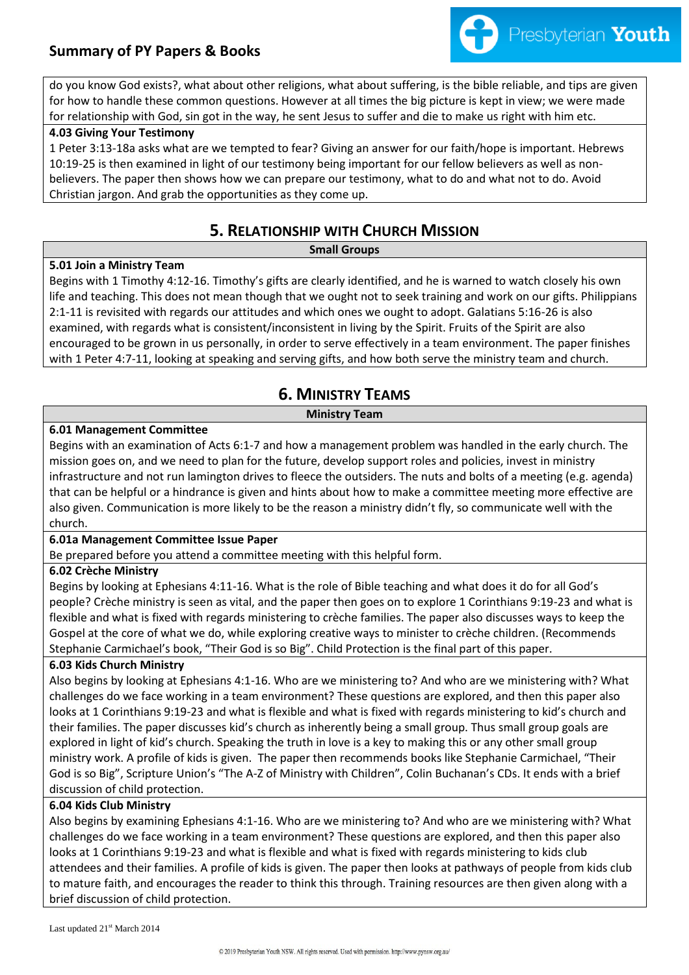## **Summary of PY Papers & Books**



do you know God exists?, what about other religions, what about suffering, is the bible reliable, and tips are given for how to handle these common questions. However at all times the big picture is kept in view; we were made for relationship with God, sin got in the way, he sent Jesus to suffer and die to make us right with him etc.

#### **4.03 Giving Your Testimony**

1 Peter 3:13-18a asks what are we tempted to fear? Giving an answer for our faith/hope is important. Hebrews 10:19-25 is then examined in light of our testimony being important for our fellow believers as well as nonbelievers. The paper then shows how we can prepare our testimony, what to do and what not to do. Avoid Christian jargon. And grab the opportunities as they come up.

## **5. RELATIONSHIP WITH CHURCH MISSION**

#### **Small Groups**

#### **5.01 Join a Ministry Team**

Begins with 1 Timothy 4:12-16. Timothy's gifts are clearly identified, and he is warned to watch closely his own life and teaching. This does not mean though that we ought not to seek training and work on our gifts. Philippians 2:1-11 is revisited with regards our attitudes and which ones we ought to adopt. Galatians 5:16-26 is also examined, with regards what is consistent/inconsistent in living by the Spirit. Fruits of the Spirit are also encouraged to be grown in us personally, in order to serve effectively in a team environment. The paper finishes with 1 Peter 4:7-11, looking at speaking and serving gifts, and how both serve the ministry team and church.

## **6. MINISTRY TEAMS**

#### **Ministry Team**

#### **6.01 Management Committee**

Begins with an examination of Acts 6:1-7 and how a management problem was handled in the early church. The mission goes on, and we need to plan for the future, develop support roles and policies, invest in ministry infrastructure and not run lamington drives to fleece the outsiders. The nuts and bolts of a meeting (e.g. agenda) that can be helpful or a hindrance is given and hints about how to make a committee meeting more effective are also given. Communication is more likely to be the reason a ministry didn't fly, so communicate well with the church.

#### **6.01a Management Committee Issue Paper**

Be prepared before you attend a committee meeting with this helpful form.

#### **6.02 Crèche Ministry**

Begins by looking at Ephesians 4:11-16. What is the role of Bible teaching and what does it do for all God's people? Crèche ministry is seen as vital, and the paper then goes on to explore 1 Corinthians 9:19-23 and what is flexible and what is fixed with regards ministering to crèche families. The paper also discusses ways to keep the Gospel at the core of what we do, while exploring creative ways to minister to crèche children. (Recommends Stephanie Carmichael's book, "Their God is so Big". Child Protection is the final part of this paper.

### **6.03 Kids Church Ministry**

Also begins by looking at Ephesians 4:1-16. Who are we ministering to? And who are we ministering with? What challenges do we face working in a team environment? These questions are explored, and then this paper also looks at 1 Corinthians 9:19-23 and what is flexible and what is fixed with regards ministering to kid's church and their families. The paper discusses kid's church as inherently being a small group. Thus small group goals are explored in light of kid's church. Speaking the truth in love is a key to making this or any other small group ministry work. A profile of kids is given. The paper then recommends books like Stephanie Carmichael, "Their God is so Big", Scripture Union's "The A-Z of Ministry with Children", Colin Buchanan's CDs. It ends with a brief discussion of child protection.

#### **6.04 Kids Club Ministry**

Also begins by examining Ephesians 4:1-16. Who are we ministering to? And who are we ministering with? What challenges do we face working in a team environment? These questions are explored, and then this paper also looks at 1 Corinthians 9:19-23 and what is flexible and what is fixed with regards ministering to kids club attendees and their families. A profile of kids is given. The paper then looks at pathways of people from kids club to mature faith, and encourages the reader to think this through. Training resources are then given along with a brief discussion of child protection.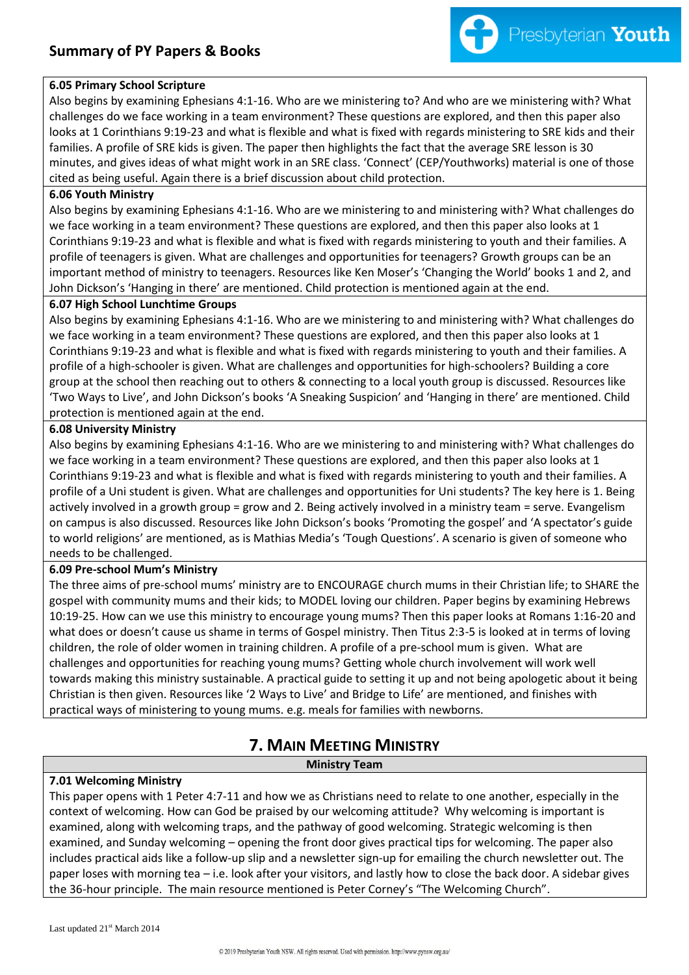

#### **6.05 Primary School Scripture**

Also begins by examining Ephesians 4:1-16. Who are we ministering to? And who are we ministering with? What challenges do we face working in a team environment? These questions are explored, and then this paper also looks at 1 Corinthians 9:19-23 and what is flexible and what is fixed with regards ministering to SRE kids and their families. A profile of SRE kids is given. The paper then highlights the fact that the average SRE lesson is 30 minutes, and gives ideas of what might work in an SRE class. 'Connect' (CEP/Youthworks) material is one of those cited as being useful. Again there is a brief discussion about child protection.

#### **6.06 Youth Ministry**

Also begins by examining Ephesians 4:1-16. Who are we ministering to and ministering with? What challenges do we face working in a team environment? These questions are explored, and then this paper also looks at 1 Corinthians 9:19-23 and what is flexible and what is fixed with regards ministering to youth and their families. A profile of teenagers is given. What are challenges and opportunities for teenagers? Growth groups can be an important method of ministry to teenagers. Resources like Ken Moser's 'Changing the World' books 1 and 2, and John Dickson's 'Hanging in there' are mentioned. Child protection is mentioned again at the end.

#### **6.07 High School Lunchtime Groups**

Also begins by examining Ephesians 4:1-16. Who are we ministering to and ministering with? What challenges do we face working in a team environment? These questions are explored, and then this paper also looks at 1 Corinthians 9:19-23 and what is flexible and what is fixed with regards ministering to youth and their families. A profile of a high-schooler is given. What are challenges and opportunities for high-schoolers? Building a core group at the school then reaching out to others & connecting to a local youth group is discussed. Resources like 'Two Ways to Live', and John Dickson's books 'A Sneaking Suspicion' and 'Hanging in there' are mentioned. Child protection is mentioned again at the end.

### **6.08 University Ministry**

Also begins by examining Ephesians 4:1-16. Who are we ministering to and ministering with? What challenges do we face working in a team environment? These questions are explored, and then this paper also looks at 1 Corinthians 9:19-23 and what is flexible and what is fixed with regards ministering to youth and their families. A profile of a Uni student is given. What are challenges and opportunities for Uni students? The key here is 1. Being actively involved in a growth group = grow and 2. Being actively involved in a ministry team = serve. Evangelism on campus is also discussed. Resources like John Dickson's books 'Promoting the gospel' and 'A spectator's guide to world religions' are mentioned, as is Mathias Media's 'Tough Questions'. A scenario is given of someone who needs to be challenged.

### **6.09 Pre-school Mum's Ministry**

The three aims of pre-school mums' ministry are to ENCOURAGE church mums in their Christian life; to SHARE the gospel with community mums and their kids; to MODEL loving our children. Paper begins by examining Hebrews 10:19-25. How can we use this ministry to encourage young mums? Then this paper looks at Romans 1:16-20 and what does or doesn't cause us shame in terms of Gospel ministry. Then Titus 2:3-5 is looked at in terms of loving children, the role of older women in training children. A profile of a pre-school mum is given. What are challenges and opportunities for reaching young mums? Getting whole church involvement will work well towards making this ministry sustainable. A practical guide to setting it up and not being apologetic about it being Christian is then given. Resources like '2 Ways to Live' and Bridge to Life' are mentioned, and finishes with practical ways of ministering to young mums. e.g. meals for families with newborns.

# **7. MAIN MEETING MINISTRY**

**Ministry Team** 

### **7.01 Welcoming Ministry**

This paper opens with 1 Peter 4:7-11 and how we as Christians need to relate to one another, especially in the context of welcoming. How can God be praised by our welcoming attitude? Why welcoming is important is examined, along with welcoming traps, and the pathway of good welcoming. Strategic welcoming is then examined, and Sunday welcoming – opening the front door gives practical tips for welcoming. The paper also includes practical aids like a follow-up slip and a newsletter sign-up for emailing the church newsletter out. The paper loses with morning tea – i.e. look after your visitors, and lastly how to close the back door. A sidebar gives the 36-hour principle. The main resource mentioned is Peter Corney's "The Welcoming Church".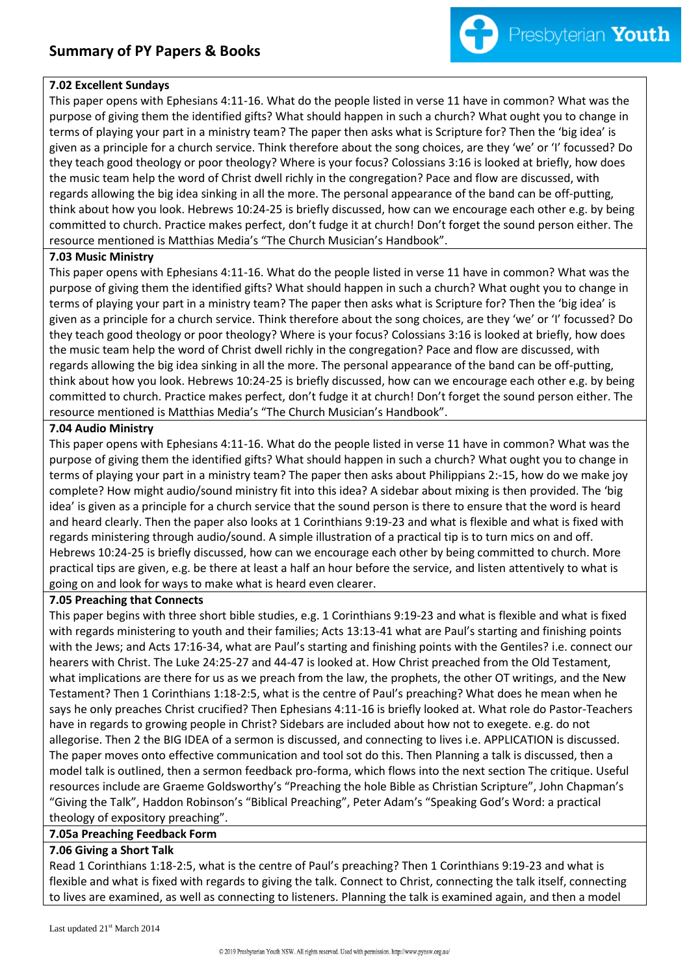

#### **7.02 Excellent Sundays**

This paper opens with Ephesians 4:11-16. What do the people listed in verse 11 have in common? What was the purpose of giving them the identified gifts? What should happen in such a church? What ought you to change in terms of playing your part in a ministry team? The paper then asks what is Scripture for? Then the 'big idea' is given as a principle for a church service. Think therefore about the song choices, are they 'we' or 'I' focussed? Do they teach good theology or poor theology? Where is your focus? Colossians 3:16 is looked at briefly, how does the music team help the word of Christ dwell richly in the congregation? Pace and flow are discussed, with regards allowing the big idea sinking in all the more. The personal appearance of the band can be off-putting, think about how you look. Hebrews 10:24-25 is briefly discussed, how can we encourage each other e.g. by being committed to church. Practice makes perfect, don't fudge it at church! Don't forget the sound person either. The resource mentioned is Matthias Media's "The Church Musician's Handbook".

#### **7.03 Music Ministry**

This paper opens with Ephesians 4:11-16. What do the people listed in verse 11 have in common? What was the purpose of giving them the identified gifts? What should happen in such a church? What ought you to change in terms of playing your part in a ministry team? The paper then asks what is Scripture for? Then the 'big idea' is given as a principle for a church service. Think therefore about the song choices, are they 'we' or 'I' focussed? Do they teach good theology or poor theology? Where is your focus? Colossians 3:16 is looked at briefly, how does the music team help the word of Christ dwell richly in the congregation? Pace and flow are discussed, with regards allowing the big idea sinking in all the more. The personal appearance of the band can be off-putting, think about how you look. Hebrews 10:24-25 is briefly discussed, how can we encourage each other e.g. by being committed to church. Practice makes perfect, don't fudge it at church! Don't forget the sound person either. The resource mentioned is Matthias Media's "The Church Musician's Handbook".

### **7.04 Audio Ministry**

This paper opens with Ephesians 4:11-16. What do the people listed in verse 11 have in common? What was the purpose of giving them the identified gifts? What should happen in such a church? What ought you to change in terms of playing your part in a ministry team? The paper then asks about Philippians 2:-15, how do we make joy complete? How might audio/sound ministry fit into this idea? A sidebar about mixing is then provided. The 'big idea' is given as a principle for a church service that the sound person is there to ensure that the word is heard and heard clearly. Then the paper also looks at 1 Corinthians 9:19-23 and what is flexible and what is fixed with regards ministering through audio/sound. A simple illustration of a practical tip is to turn mics on and off. Hebrews 10:24-25 is briefly discussed, how can we encourage each other by being committed to church. More practical tips are given, e.g. be there at least a half an hour before the service, and listen attentively to what is going on and look for ways to make what is heard even clearer.

#### **7.05 Preaching that Connects**

This paper begins with three short bible studies, e.g. 1 Corinthians 9:19-23 and what is flexible and what is fixed with regards ministering to youth and their families; Acts 13:13-41 what are Paul's starting and finishing points with the Jews; and Acts 17:16-34, what are Paul's starting and finishing points with the Gentiles? i.e. connect our hearers with Christ. The Luke 24:25-27 and 44-47 is looked at. How Christ preached from the Old Testament, what implications are there for us as we preach from the law, the prophets, the other OT writings, and the New Testament? Then 1 Corinthians 1:18-2:5, what is the centre of Paul's preaching? What does he mean when he says he only preaches Christ crucified? Then Ephesians 4:11-16 is briefly looked at. What role do Pastor-Teachers have in regards to growing people in Christ? Sidebars are included about how not to exegete. e.g. do not allegorise. Then 2 the BIG IDEA of a sermon is discussed, and connecting to lives i.e. APPLICATION is discussed. The paper moves onto effective communication and tool sot do this. Then Planning a talk is discussed, then a model talk is outlined, then a sermon feedback pro-forma, which flows into the next section The critique. Useful resources include are Graeme Goldsworthy's "Preaching the hole Bible as Christian Scripture", John Chapman's "Giving the Talk", Haddon Robinson's "Biblical Preaching", Peter Adam's "Speaking God's Word: a practical theology of expository preaching".

#### **7.05a Preaching Feedback Form**

### **7.06 Giving a Short Talk**

Read 1 Corinthians 1:18-2:5, what is the centre of Paul's preaching? Then 1 Corinthians 9:19-23 and what is flexible and what is fixed with regards to giving the talk. Connect to Christ, connecting the talk itself, connecting to lives are examined, as well as connecting to listeners. Planning the talk is examined again, and then a model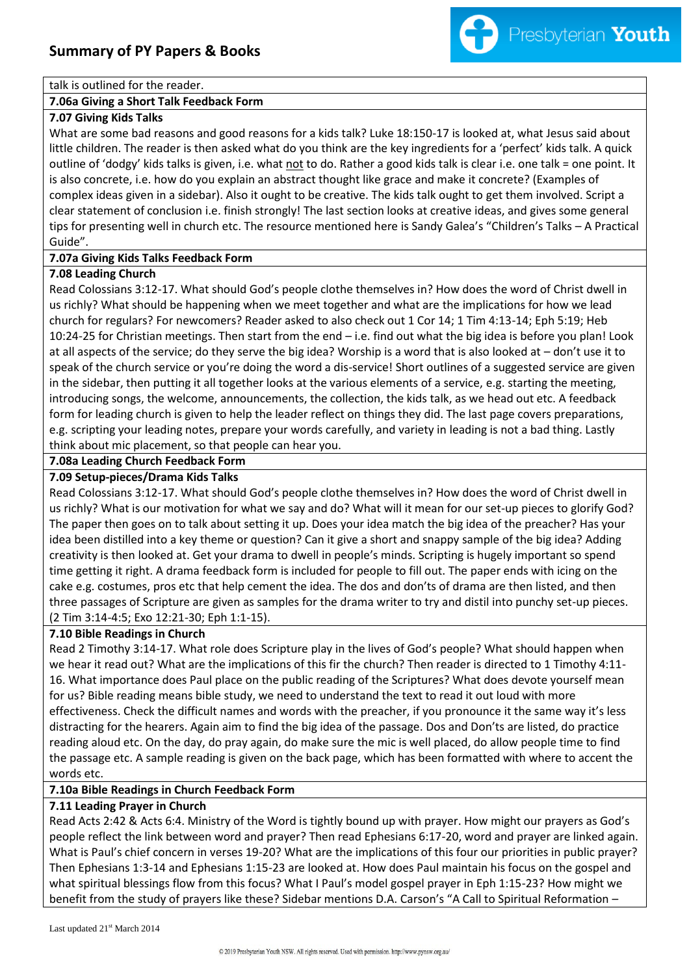

#### talk is outlined for the reader.

#### **7.06a Giving a Short Talk Feedback Form**

#### **7.07 Giving Kids Talks**

What are some bad reasons and good reasons for a kids talk? Luke 18:150-17 is looked at, what Jesus said about little children. The reader is then asked what do you think are the key ingredients for a 'perfect' kids talk. A quick outline of 'dodgy' kids talks is given, i.e. what not to do. Rather a good kids talk is clear i.e. one talk = one point. It is also concrete, i.e. how do you explain an abstract thought like grace and make it concrete? (Examples of complex ideas given in a sidebar). Also it ought to be creative. The kids talk ought to get them involved. Script a clear statement of conclusion i.e. finish strongly! The last section looks at creative ideas, and gives some general tips for presenting well in church etc. The resource mentioned here is Sandy Galea's "Children's Talks – A Practical Guide".

#### **7.07a Giving Kids Talks Feedback Form**

#### **7.08 Leading Church**

Read Colossians 3:12-17. What should God's people clothe themselves in? How does the word of Christ dwell in us richly? What should be happening when we meet together and what are the implications for how we lead church for regulars? For newcomers? Reader asked to also check out 1 Cor 14; 1 Tim 4:13-14; Eph 5:19; Heb 10:24-25 for Christian meetings. Then start from the end – i.e. find out what the big idea is before you plan! Look at all aspects of the service; do they serve the big idea? Worship is a word that is also looked at – don't use it to speak of the church service or you're doing the word a dis-service! Short outlines of a suggested service are given in the sidebar, then putting it all together looks at the various elements of a service, e.g. starting the meeting, introducing songs, the welcome, announcements, the collection, the kids talk, as we head out etc. A feedback form for leading church is given to help the leader reflect on things they did. The last page covers preparations, e.g. scripting your leading notes, prepare your words carefully, and variety in leading is not a bad thing. Lastly think about mic placement, so that people can hear you.

#### **7.08a Leading Church Feedback Form**

#### **7.09 Setup-pieces/Drama Kids Talks**

Read Colossians 3:12-17. What should God's people clothe themselves in? How does the word of Christ dwell in us richly? What is our motivation for what we say and do? What will it mean for our set-up pieces to glorify God? The paper then goes on to talk about setting it up. Does your idea match the big idea of the preacher? Has your idea been distilled into a key theme or question? Can it give a short and snappy sample of the big idea? Adding creativity is then looked at. Get your drama to dwell in people's minds. Scripting is hugely important so spend time getting it right. A drama feedback form is included for people to fill out. The paper ends with icing on the cake e.g. costumes, pros etc that help cement the idea. The dos and don'ts of drama are then listed, and then three passages of Scripture are given as samples for the drama writer to try and distil into punchy set-up pieces. (2 Tim 3:14-4:5; Exo 12:21-30; Eph 1:1-15).

#### **7.10 Bible Readings in Church**

Read 2 Timothy 3:14-17. What role does Scripture play in the lives of God's people? What should happen when we hear it read out? What are the implications of this fir the church? Then reader is directed to 1 Timothy 4:11- 16. What importance does Paul place on the public reading of the Scriptures? What does devote yourself mean for us? Bible reading means bible study, we need to understand the text to read it out loud with more effectiveness. Check the difficult names and words with the preacher, if you pronounce it the same way it's less distracting for the hearers. Again aim to find the big idea of the passage. Dos and Don'ts are listed, do practice reading aloud etc. On the day, do pray again, do make sure the mic is well placed, do allow people time to find the passage etc. A sample reading is given on the back page, which has been formatted with where to accent the words etc.

#### **7.10a Bible Readings in Church Feedback Form**

#### **7.11 Leading Prayer in Church**

Read Acts 2:42 & Acts 6:4. Ministry of the Word is tightly bound up with prayer. How might our prayers as God's people reflect the link between word and prayer? Then read Ephesians 6:17-20, word and prayer are linked again. What is Paul's chief concern in verses 19-20? What are the implications of this four our priorities in public prayer? Then Ephesians 1:3-14 and Ephesians 1:15-23 are looked at. How does Paul maintain his focus on the gospel and what spiritual blessings flow from this focus? What I Paul's model gospel prayer in Eph 1:15-23? How might we benefit from the study of prayers like these? Sidebar mentions D.A. Carson's "A Call to Spiritual Reformation –